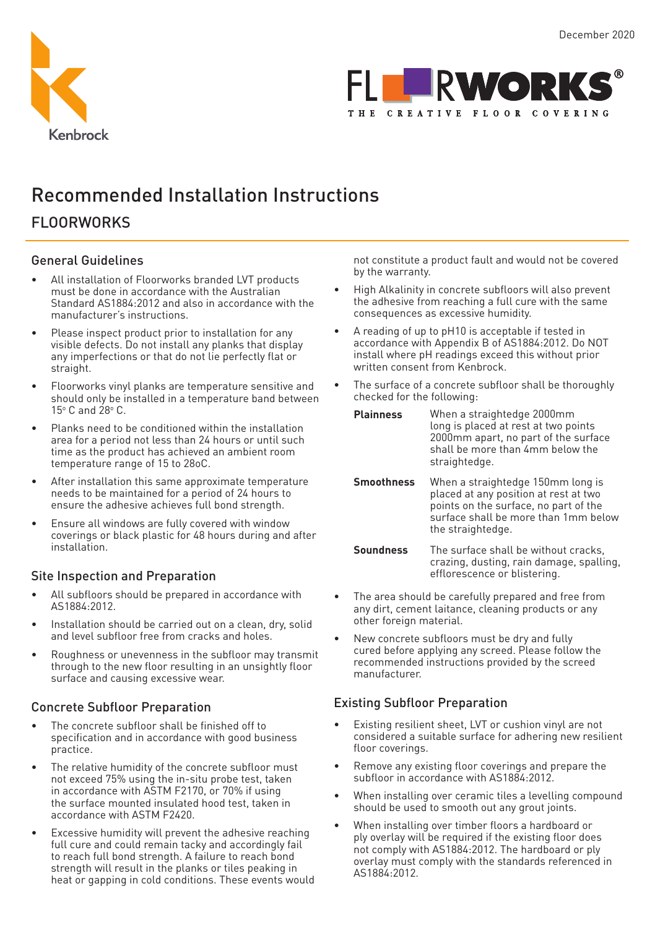



# Recommended Installation Instructions

## **FLOORWORKS**

## General Guidelines

- All installation of Floorworks branded LVT products must be done in accordance with the Australian Standard AS1884:2012 and also in accordance with the manufacturer's instructions.
- Please inspect product prior to installation for any visible defects. Do not install any planks that display any imperfections or that do not lie perfectly flat or straight.
- Floorworks vinyl planks are temperature sensitive and should only be installed in a temperature band between 15° C and 28° C.
- Planks need to be conditioned within the installation area for a period not less than 24 hours or until such time as the product has achieved an ambient room temperature range of 15 to 28oC.
- After installation this same approximate temperature needs to be maintained for a period of 24 hours to ensure the adhesive achieves full bond strength.
- Ensure all windows are fully covered with window coverings or black plastic for 48 hours during and after installation.

## Site Inspection and Preparation

- All subfloors should be prepared in accordance with AS1884:2012.
- Installation should be carried out on a clean, dry, solid and level subfloor free from cracks and holes.
- Roughness or unevenness in the subfloor may transmit through to the new floor resulting in an unsightly floor surface and causing excessive wear.

## Concrete Subfloor Preparation

- The concrete subfloor shall be finished off to specification and in accordance with good business practice.
- The relative humidity of the concrete subfloor must not exceed 75% using the in-situ probe test, taken in accordance with ASTM F2170, or 70% if using the surface mounted insulated hood test, taken in accordance with ASTM F2420.
- Excessive humidity will prevent the adhesive reaching full cure and could remain tacky and accordingly fail to reach full bond strength. A failure to reach bond strength will result in the planks or tiles peaking in heat or gapping in cold conditions. These events would

not constitute a product fault and would not be covered by the warranty.

- High Alkalinity in concrete subfloors will also prevent the adhesive from reaching a full cure with the same consequences as excessive humidity.
- A reading of up to pH10 is acceptable if tested in accordance with Appendix B of AS1884:2012. Do NOT install where pH readings exceed this without prior written consent from Kenbrock.
- The surface of a concrete subfloor shall be thoroughly checked for the following:

| <b>Plainness</b> | When a straightedge 2000mm<br>long is placed at rest at two points<br>2000mm apart, no part of the surface<br>shall be more than 4mm below the<br>straightedge. |
|------------------|-----------------------------------------------------------------------------------------------------------------------------------------------------------------|
|                  |                                                                                                                                                                 |

**Smoothness** When a straightedge 150mm long is placed at any position at rest at two points on the surface, no part of the surface shall be more than 1mm below the straightedge.

**Soundness** The surface shall be without cracks, crazing, dusting, rain damage, spalling, efflorescence or blistering.

- The area should be carefully prepared and free from any dirt, cement laitance, cleaning products or any other foreign material.
- New concrete subfloors must be dry and fully cured before applying any screed. Please follow the recommended instructions provided by the screed manufacturer.

## Existing Subfloor Preparation

- Existing resilient sheet, LVT or cushion vinyl are not considered a suitable surface for adhering new resilient floor coverings.
- Remove any existing floor coverings and prepare the subfloor in accordance with AS1884:2012.
- When installing over ceramic tiles a levelling compound should be used to smooth out any grout joints.
- When installing over timber floors a hardboard or ply overlay will be required if the existing floor does not comply with AS1884:2012. The hardboard or ply overlay must comply with the standards referenced in AS1884:2012.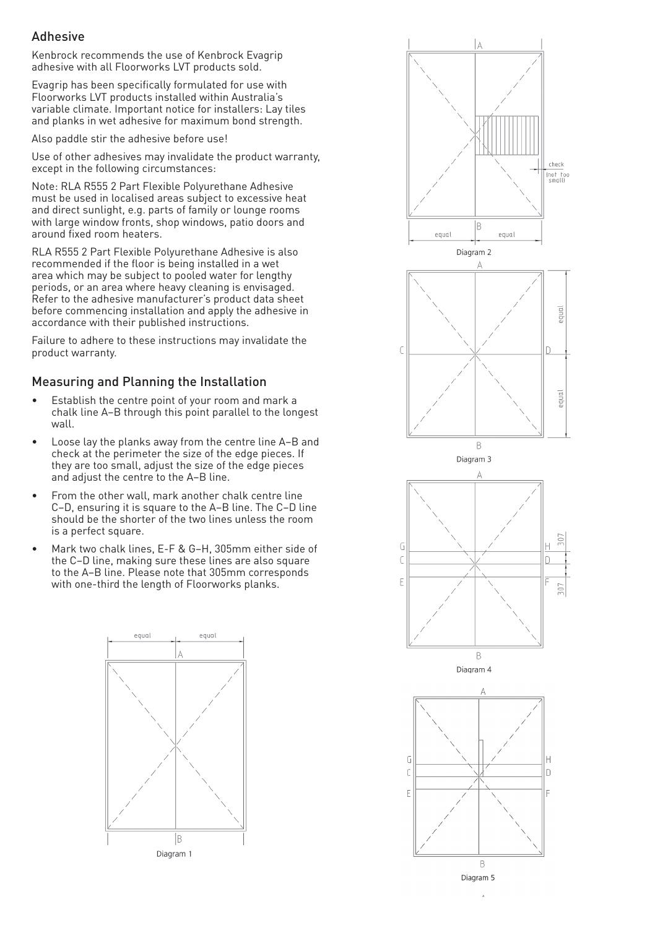## Adhesive

Kenbrock recommends the use of Kenbrock Evagrip adhesive with all Floorworks LVT products sold.

Evagrip has been specifically formulated for use with Floorworks LVT products installed within Australia's variable climate. Important notice for installers: Lay tiles and planks in wet adhesive for maximum bond strength.

Also paddle stir the adhesive before use!

Use of other adhesives may invalidate the product warranty, except in the following circumstances:

Note: RLA R555 2 Part Flexible Polyurethane Adhesive must be used in localised areas subject to excessive heat and direct sunlight, e.g. parts of family or lounge rooms with large window fronts, shop windows, patio doors and around fixed room heaters.

RLA R555 2 Part Flexible Polyurethane Adhesive is also recommended if the floor is being installed in a wet area which may be subject to pooled water for lengthy periods, or an area where heavy cleaning is envisaged. Refer to the adhesive manufacturer's product data sheet before commencing installation and apply the adhesive in accordance with their published instructions.

Failure to adhere to these instructions may invalidate the product warranty.

## Measuring and Planning the Installation

- Establish the centre point of your room and mark a chalk line A–B through this point parallel to the longest wall.
- Loose lay the planks away from the centre line A–B and check at the perimeter the size of the edge pieces. If they are too small, adjust the size of the edge pieces and adjust the centre to the A–B line.
- From the other wall, mark another chalk centre line C–D, ensuring it is square to the A–B line. The C–D line should be the shorter of the two lines unless the room is a perfect square.
- Mark two chalk lines, E-F & G–H, 305mm either side of the C–D line, making sure these lines are also square to the A–B line. Please note that 305mm corresponds with one-third the length of Floorworks planks.



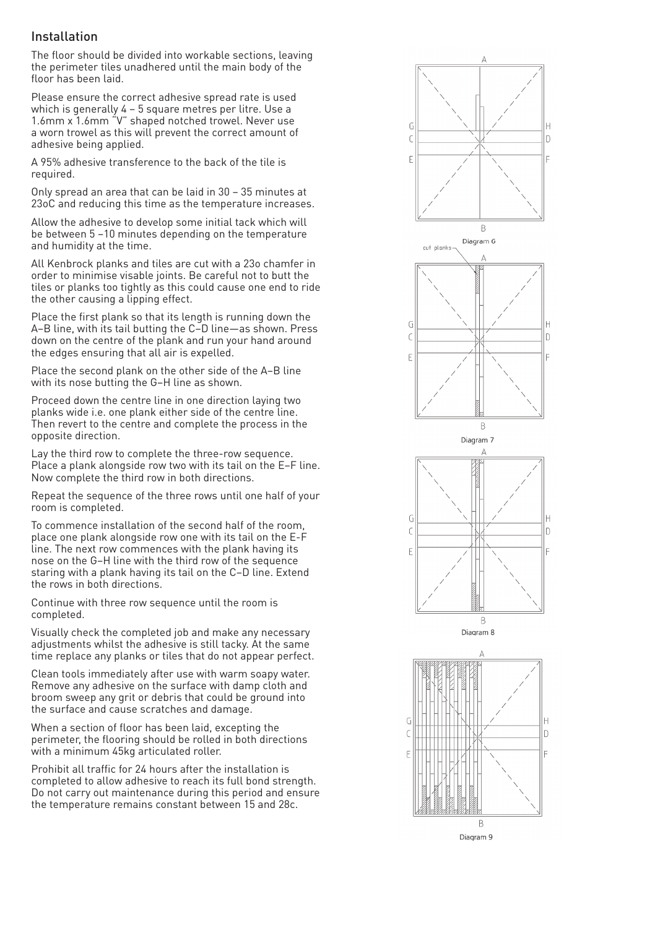#### Installation

The floor should be divided into workable sections, leaving the perimeter tiles unadhered until the main body of the floor has been laid.

Please ensure the correct adhesive spread rate is used which is generally 4 – 5 square metres per litre. Use a 1.6mm x 1.6mm "V" shaped notched trowel. Never use a worn trowel as this will prevent the correct amount of adhesive being applied.

A 95% adhesive transference to the back of the tile is required.

Only spread an area that can be laid in 30 – 35 minutes at 23oC and reducing this time as the temperature increases.

Allow the adhesive to develop some initial tack which will be between 5 –10 minutes depending on the temperature and humidity at the time.

All Kenbrock planks and tiles are cut with a 23o chamfer in order to minimise visable joints. Be careful not to butt the tiles or planks too tightly as this could cause one end to ride the other causing a lipping effect.

Place the first plank so that its length is running down the A–B line, with its tail butting the C–D line—as shown. Press down on the centre of the plank and run your hand around the edges ensuring that all air is expelled.

Place the second plank on the other side of the A–B line with its nose butting the G–H line as shown.

Proceed down the centre line in one direction laying two planks wide i.e. one plank either side of the centre line. Then revert to the centre and complete the process in the opposite direction.

Lay the third row to complete the three-row sequence. Place a plank alongside row two with its tail on the E–F line. Now complete the third row in both directions.

Repeat the sequence of the three rows until one half of your room is completed.

To commence installation of the second half of the room, place one plank alongside row one with its tail on the E-F line. The next row commences with the plank having its nose on the G–H line with the third row of the sequence staring with a plank having its tail on the C–D line. Extend the rows in both directions.

Continue with three row sequence until the room is completed.

Visually check the completed job and make any necessary adjustments whilst the adhesive is still tacky. At the same time replace any planks or tiles that do not appear perfect.

Clean tools immediately after use with warm soapy water. Remove any adhesive on the surface with damp cloth and broom sweep any grit or debris that could be ground into the surface and cause scratches and damage.

When a section of floor has been laid, excepting the perimeter, the flooring should be rolled in both directions with a minimum 45kg articulated roller.

Prohibit all traffic for 24 hours after the installation is completed to allow adhesive to reach its full bond strength. Do not carry out maintenance during this period and ensure the temperature remains constant between 15 and 28c.